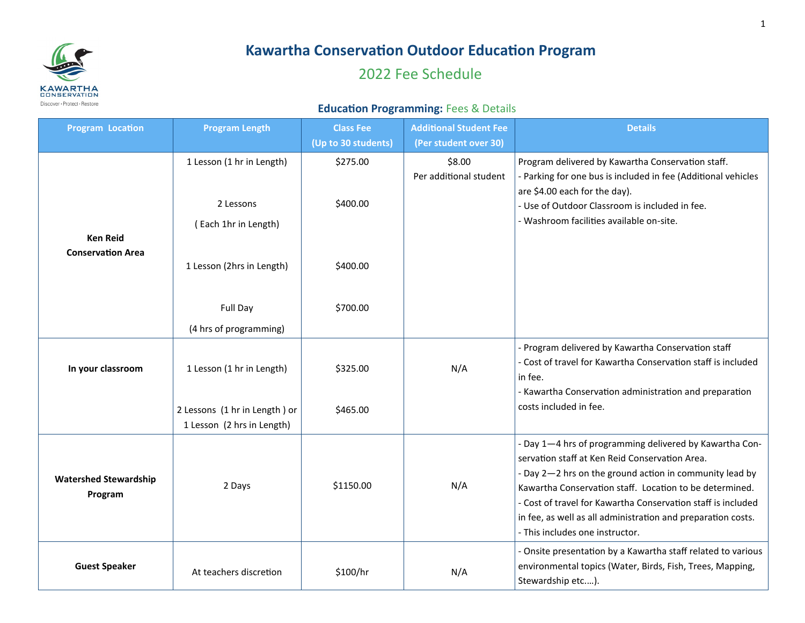

## **Kawartha Conservation Outdoor Education Program**

## 2022 Fee Schedule

## **Education Programming:** Fees & Details

| <b>Program Location</b>                 | <b>Program Length</b>                                       | <b>Class Fee</b><br>(Up to 30 students) | <b>Additional Student Fee</b><br>(Per student over 30) | <b>Details</b>                                                                                                                                                                                                                                                                                                                                                                                     |
|-----------------------------------------|-------------------------------------------------------------|-----------------------------------------|--------------------------------------------------------|----------------------------------------------------------------------------------------------------------------------------------------------------------------------------------------------------------------------------------------------------------------------------------------------------------------------------------------------------------------------------------------------------|
|                                         | 1 Lesson (1 hr in Length)                                   | \$275.00                                | \$8.00<br>Per additional student                       | Program delivered by Kawartha Conservation staff.<br>- Parking for one bus is included in fee (Additional vehicles<br>are \$4.00 each for the day).                                                                                                                                                                                                                                                |
| <b>Ken Reid</b>                         | 2 Lessons<br>(Each 1hr in Length)                           | \$400.00                                |                                                        | - Use of Outdoor Classroom is included in fee.<br>- Washroom facilities available on-site.                                                                                                                                                                                                                                                                                                         |
| <b>Conservation Area</b>                | 1 Lesson (2hrs in Length)                                   | \$400.00                                |                                                        |                                                                                                                                                                                                                                                                                                                                                                                                    |
|                                         | Full Day<br>(4 hrs of programming)                          | \$700.00                                |                                                        |                                                                                                                                                                                                                                                                                                                                                                                                    |
| In your classroom                       | 1 Lesson (1 hr in Length)                                   | \$325.00                                | N/A                                                    | - Program delivered by Kawartha Conservation staff<br>- Cost of travel for Kawartha Conservation staff is included<br>in fee.<br>- Kawartha Conservation administration and preparation                                                                                                                                                                                                            |
|                                         | 2 Lessons (1 hr in Length) or<br>1 Lesson (2 hrs in Length) | \$465.00                                |                                                        | costs included in fee.                                                                                                                                                                                                                                                                                                                                                                             |
| <b>Watershed Stewardship</b><br>Program | 2 Days                                                      | \$1150.00                               | N/A                                                    | - Day 1-4 hrs of programming delivered by Kawartha Con-<br>servation staff at Ken Reid Conservation Area.<br>- Day 2-2 hrs on the ground action in community lead by<br>Kawartha Conservation staff. Location to be determined.<br>- Cost of travel for Kawartha Conservation staff is included<br>in fee, as well as all administration and preparation costs.<br>- This includes one instructor. |
| <b>Guest Speaker</b>                    | At teachers discretion                                      | \$100/hr                                | N/A                                                    | - Onsite presentation by a Kawartha staff related to various<br>environmental topics (Water, Birds, Fish, Trees, Mapping,<br>Stewardship etc).                                                                                                                                                                                                                                                     |